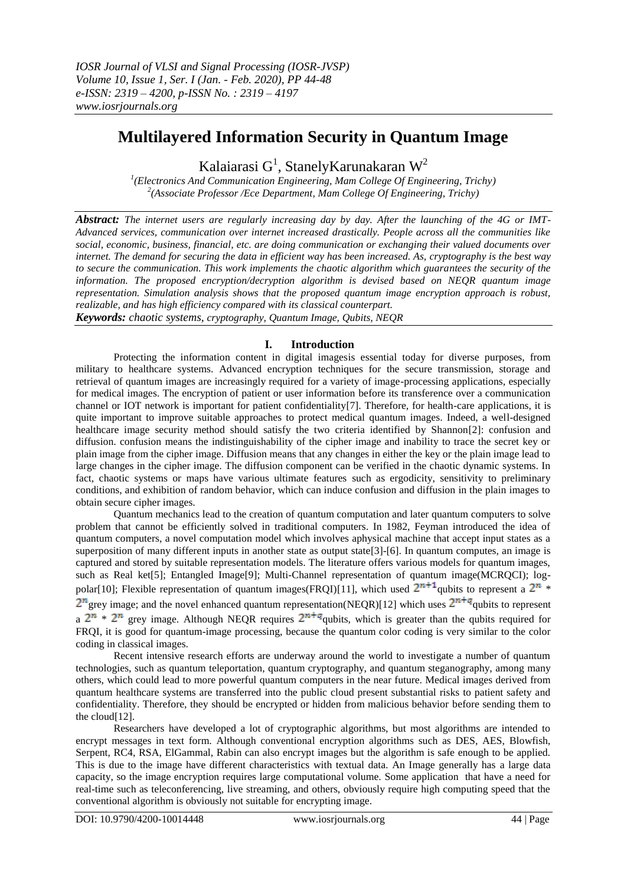# **Multilayered Information Security in Quantum Image**

Kalaiarasi  $G^1$ , Stanely Karunakaran W<sup>2</sup>

<sup>1</sup>(Electronics And Communication Engineering, Mam College Of Engineering, Trichy) *2 (Associate Professor /Ece Department, Mam College Of Engineering, Trichy)*

*Abstract: The internet users are regularly increasing day by day. After the launching of the 4G or IMT-Advanced services, communication over internet increased drastically. People across all the communities like social, economic, business, financial, etc. are doing communication or exchanging their valued documents over internet. The demand for securing the data in efficient way has been increased. As, cryptography is the best way to secure the communication. This work implements the chaotic algorithm which guarantees the security of the information. The proposed encryption/decryption algorithm is devised based on NEQR quantum image representation. Simulation analysis shows that the proposed quantum image encryption approach is robust, realizable, and has high efficiency compared with its classical counterpart.*

*Keywords: chaotic systems, cryptography, Quantum Image, Qubits, NEQR*

## **I. Introduction**

Protecting the information content in digital imagesis essential today for diverse purposes, from military to healthcare systems. Advanced encryption techniques for the secure transmission, storage and retrieval of quantum images are increasingly required for a variety of image-processing applications, especially for medical images. The encryption of patient or user information before its transference over a communication channel or IOT network is important for patient confidentiality[7]. Therefore, for health-care applications, it is quite important to improve suitable approaches to protect medical quantum images. Indeed, a well-designed healthcare image security method should satisfy the two criteria identified by Shannon[2]: confusion and diffusion. confusion means the indistinguishability of the cipher image and inability to trace the secret key or plain image from the cipher image. Diffusion means that any changes in either the key or the plain image lead to large changes in the cipher image. The diffusion component can be verified in the chaotic dynamic systems. In fact, chaotic systems or maps have various ultimate features such as ergodicity, sensitivity to preliminary conditions, and exhibition of random behavior, which can induce confusion and diffusion in the plain images to obtain secure cipher images.

Quantum mechanics lead to the creation of quantum computation and later quantum computers to solve problem that cannot be efficiently solved in traditional computers. In 1982, Feyman introduced the idea of quantum computers, a novel computation model which involves aphysical machine that accept input states as a superposition of many different inputs in another state as output state<sup>[3]</sup>-[6]. In quantum computes, an image is captured and stored by suitable representation models. The literature offers various models for quantum images, such as Real ket[5]; Entangled Image[9]; Multi-Channel representation of quantum image(MCRQCI); logpolar[10]; Flexible representation of quantum images(FRQI)[11], which used  $2^{n+1}$  qubits to represent a  $2^n$  \*  $2^{n}$  grey image; and the novel enhanced quantum representation(NEQR)[12] which uses  $2^{n+q}$  qubits to represent a  $2^n * 2^n$  grey image. Although NEQR requires  $2^{n+q}$  qubits, which is greater than the qubits required for FRQI, it is good for quantum-image processing, because the quantum color coding is very similar to the color coding in classical images.

Recent intensive research efforts are underway around the world to investigate a number of quantum technologies, such as quantum teleportation, quantum cryptography, and quantum steganography, among many others, which could lead to more powerful quantum computers in the near future. Medical images derived from quantum healthcare systems are transferred into the public cloud present substantial risks to patient safety and confidentiality. Therefore, they should be encrypted or hidden from malicious behavior before sending them to the cloud[12].

Researchers have developed a lot of cryptographic algorithms, but most algorithms are intended to encrypt messages in text form. Although conventional encryption algorithms such as DES, AES, Blowfish, Serpent, RC4, RSA, ElGammal, Rabin can also encrypt images but the algorithm is safe enough to be applied. This is due to the image have different characteristics with textual data. An Image generally has a large data capacity, so the image encryption requires large computational volume. Some application that have a need for real-time such as teleconferencing, live streaming, and others, obviously require high computing speed that the conventional algorithm is obviously not suitable for encrypting image.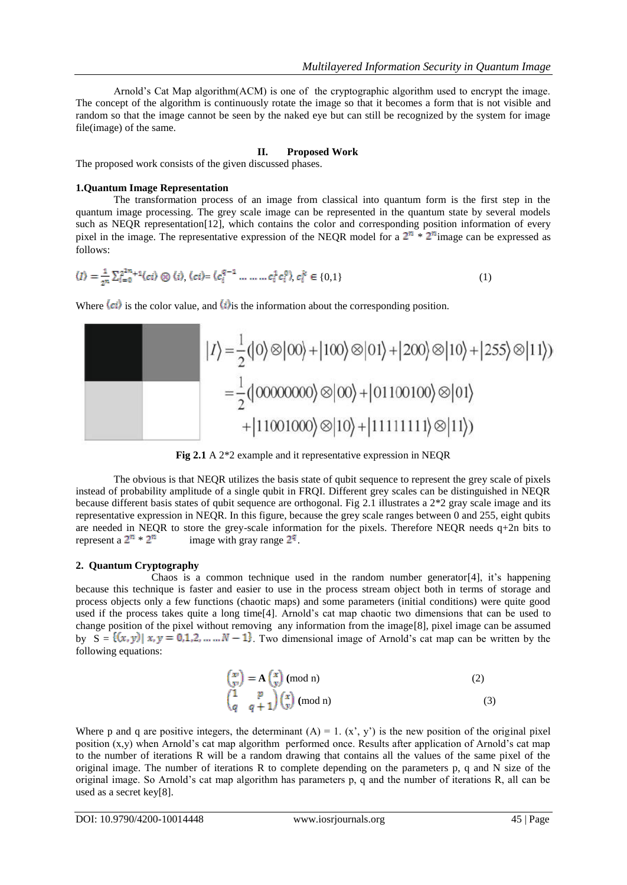Arnold's Cat Map algorithm(ACM) is one of the cryptographic algorithm used to encrypt the image. The concept of the algorithm is continuously rotate the image so that it becomes a form that is not visible and random so that the image cannot be seen by the naked eye but can still be recognized by the system for image file(image) of the same.

#### **II. Proposed Work**

The proposed work consists of the given discussed phases.

#### **1.Quantum Image Representation**

The transformation process of an image from classical into quantum form is the first step in the quantum image processing. The grey scale image can be represented in the quantum state by several models such as NEQR representation[12], which contains the color and corresponding position information of every pixel in the image. The representative expression of the NEQR model for a  $2^n * 2^n$  image can be expressed as follows:

$$
\langle I \rangle = \frac{1}{2^n} \sum_{i=0}^{2^{2n}+1} \langle ci \rangle \otimes \langle i \rangle, \langle ci \rangle = \langle c_i^{q-1} \dots \dots c_i^1 c_i^0 \rangle, c_i^k \in \{0,1\}
$$
 (1)

Where  $\langle ci \rangle$  is the color value, and  $\langle i \rangle$  is the information about the corresponding position.



**Fig 2.1** A 2\*2 example and it representative expression in NEQR

The obvious is that NEQR utilizes the basis state of qubit sequence to represent the grey scale of pixels instead of probability amplitude of a single qubit in FRQI. Different grey scales can be distinguished in NEQR because different basis states of qubit sequence are orthogonal. Fig 2.1 illustrates a 2\*2 gray scale image and its representative expression in NEQR. In this figure, because the grey scale ranges between 0 and 255, eight qubits are needed in NEQR to store the grey-scale information for the pixels. Therefore NEQR needs  $q+2n$  bits to represent a  $2^n \times 2^n$  image with gray range  $2^q$ .

#### **2. Quantum Cryptography**

Chaos is a common technique used in the random number generator[4], it's happening because this technique is faster and easier to use in the process stream object both in terms of storage and process objects only a few functions (chaotic maps) and some parameters (initial conditions) were quite good used if the process takes quite a long time[4]. Arnold's cat map chaotic two dimensions that can be used to change position of the pixel without removing any information from the image[8], pixel image can be assumed by  $S = \{(x, y) | x, y = 0, 1, 2, ..., N - 1\}$ . Two dimensional image of Arnold's cat map can be written by the following equations:

$$
\begin{array}{l}\n\left(\begin{array}{c}\nx \\
y\n\end{array}\right) = \mathbf{A}\left(\begin{array}{c}\nx \\
y\n\end{array}\right) \text{ (mod n)}\\
\left(\begin{array}{cc}\n1 & p \\
q & q+1\n\end{array}\right)\left(\begin{array}{c}\nx \\
y\n\end{array}\right) \text{ (mod n)}\n\tag{3}\n\end{array}
$$

Where p and q are positive integers, the determinant  $(A) = 1$ .  $(x', y')$  is the new position of the original pixel position  $(x,y)$  when Arnold's cat map algorithm performed once. Results after application of Arnold's cat map to the number of iterations R will be a random drawing that contains all the values of the same pixel of the original image. The number of iterations R to complete depending on the parameters p, q and N size of the original image. So Arnold's cat map algorithm has parameters p, q and the number of iterations R, all can be used as a secret key[8].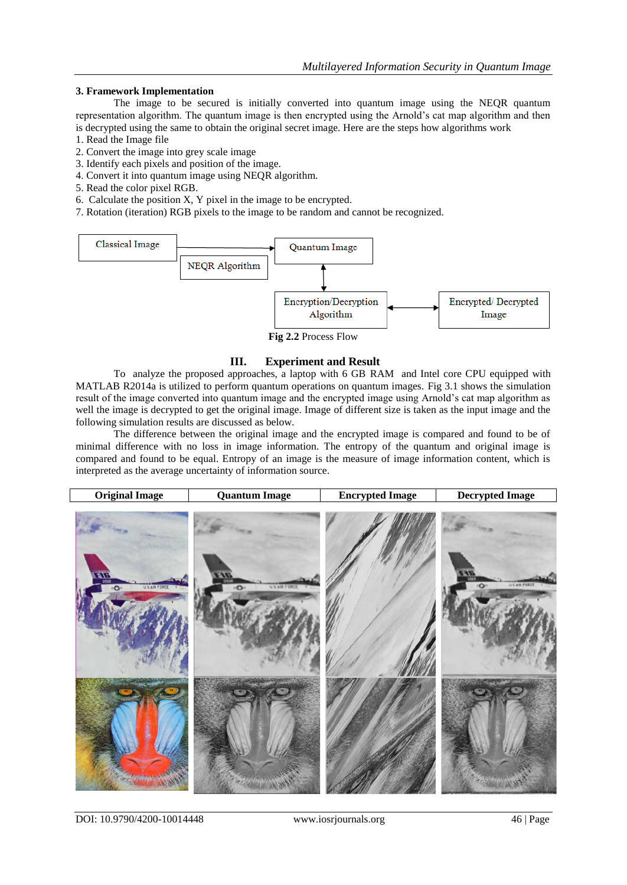#### **3. Framework Implementation**

The image to be secured is initially converted into quantum image using the NEQR quantum representation algorithm. The quantum image is then encrypted using the Arnold's cat map algorithm and then is decrypted using the same to obtain the original secret image. Here are the steps how algorithms work

- 1. Read the Image file
- 2. Convert the image into grey scale image
- 3. Identify each pixels and position of the image.
- 4. Convert it into quantum image using NEQR algorithm.
- 5. Read the color pixel RGB.
- 6. Calculate the position X, Y pixel in the image to be encrypted.
- 7. Rotation (iteration) RGB pixels to the image to be random and cannot be recognized.



**Fig 2.2** Process Flow

### **III. Experiment and Result**

To analyze the proposed approaches, a laptop with 6 GB RAM and Intel core CPU equipped with MATLAB R2014a is utilized to perform quantum operations on quantum images. Fig 3.1 shows the simulation result of the image converted into quantum image and the encrypted image using Arnold's cat map algorithm as well the image is decrypted to get the original image. Image of different size is taken as the input image and the following simulation results are discussed as below.

The difference between the original image and the encrypted image is compared and found to be of minimal difference with no loss in image information. The entropy of the quantum and original image is compared and found to be equal. Entropy of an image is the measure of image information content, which is interpreted as the average uncertainty of information source.

| <b>Original Image</b>                         | <b>Quantum Image</b>       | <b>Encrypted Image</b> | <b>Decrypted Image</b>            |
|-----------------------------------------------|----------------------------|------------------------|-----------------------------------|
| ENG<br>U.S.AIR FORCE<br>$\bullet$<br>ñ,<br>ł, | <b>U.S.AIR FORES</b><br>o. |                        | <b><i>U.S. MIR TAREE</i></b><br>÷ |
|                                               |                            |                        |                                   |

DOI: 10.9790/4200-10014448 www.iosrjournals.org 46 | Page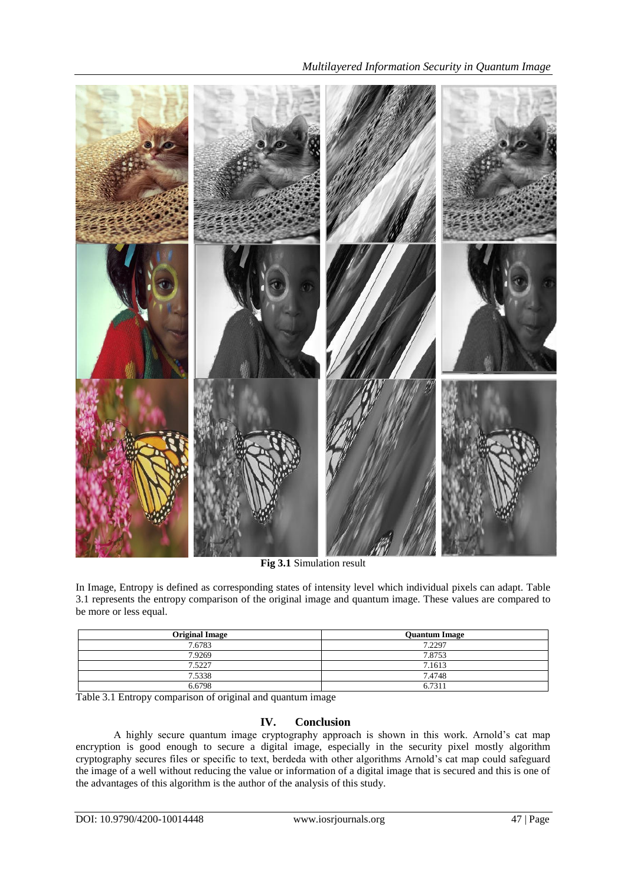

*Multilayered Information Security in Quantum Image*

**Fig 3.1** Simulation result

In Image, Entropy is defined as corresponding states of intensity level which individual pixels can adapt. Table 3.1 represents the entropy comparison of the original image and quantum image. These values are compared to be more or less equal.

| <b>Original Image</b> | <b>Quantum Image</b> |
|-----------------------|----------------------|
| 7.6783                | 7.2297               |
| 7.9269                | 7.8753               |
| 7.5227                | 7.1613               |
| 7.5338                | 7.4748               |
| 6.6798                | 6.7311               |

Table 3.1 Entropy comparison of original and quantum image

## **IV. Conclusion**

A highly secure quantum image cryptography approach is shown in this work. Arnold's cat map encryption is good enough to secure a digital image, especially in the security pixel mostly algorithm cryptography secures files or specific to text, berdeda with other algorithms Arnold's cat map could safeguard the image of a well without reducing the value or information of a digital image that is secured and this is one of the advantages of this algorithm is the author of the analysis of this study.